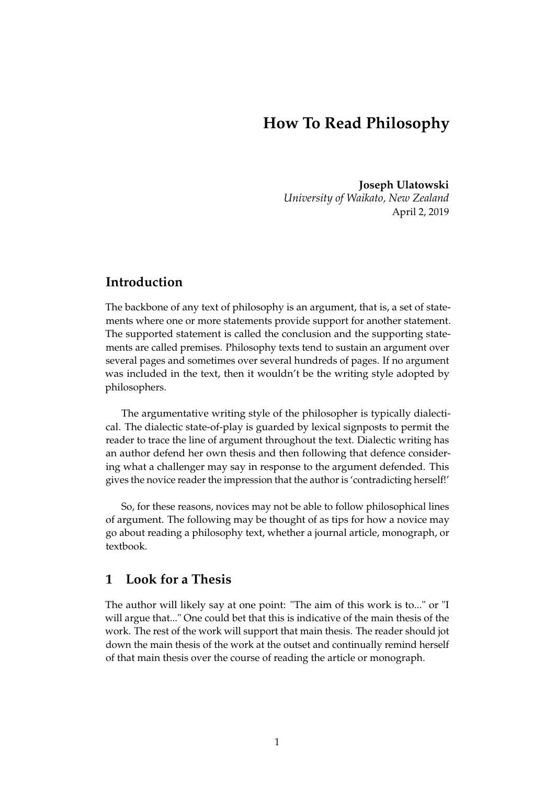# **How To Read Philosophy**

**Joseph Ulatowski** *University of Waikato, New Zealand* April 2, 2019

#### **Introduction**

The backbone of any text of philosophy is an argument, that is, a set of statements where one or more statements provide support for another statement. The supported statement is called the conclusion and the supporting statements are called premises. Philosophy texts tend to sustain an argument over several pages and sometimes over several hundreds of pages. If no argument was included in the text, then it wouldn't be the writing style adopted by philosophers.

The argumentative writing style of the philosopher is typically dialectical. The dialectic state-of-play is guarded by lexical signposts to permit the reader to trace the line of argument throughout the text. Dialectic writing has an author defend her own thesis and then following that defence considering what a challenger may say in response to the argument defended. This gives the novice reader the impression that the author is 'contradicting herself!'

So, for these reasons, novices may not be able to follow philosophical lines of argument. The following may be thought of as tips for how a novice may go about reading a philosophy text, whether a journal article, monograph, or textbook.

#### **1 Look for a Thesis**

The author will likely say at one point: "The aim of this work is to..." or "I will argue that..." One could bet that this is indicative of the main thesis of the work. The rest of the work will support that main thesis. The reader should jot down the main thesis of the work at the outset and continually remind herself of that main thesis over the course of reading the article or monograph.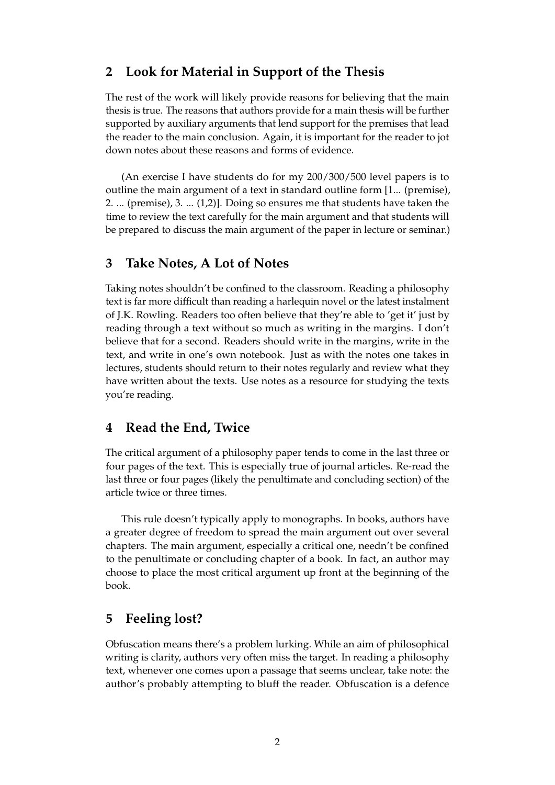## **2 Look for Material in Support of the Thesis**

The rest of the work will likely provide reasons for believing that the main thesis is true. The reasons that authors provide for a main thesis will be further supported by auxiliary arguments that lend support for the premises that lead the reader to the main conclusion. Again, it is important for the reader to jot down notes about these reasons and forms of evidence.

(An exercise I have students do for my 200/300/500 level papers is to outline the main argument of a text in standard outline form [1... (premise), 2. ... (premise), 3. ... (1,2)]. Doing so ensures me that students have taken the time to review the text carefully for the main argument and that students will be prepared to discuss the main argument of the paper in lecture or seminar.)

#### **3 Take Notes, A Lot of Notes**

Taking notes shouldn't be confined to the classroom. Reading a philosophy text is far more difficult than reading a harlequin novel or the latest instalment of J.K. Rowling. Readers too often believe that they're able to 'get it' just by reading through a text without so much as writing in the margins. I don't believe that for a second. Readers should write in the margins, write in the text, and write in one's own notebook. Just as with the notes one takes in lectures, students should return to their notes regularly and review what they have written about the texts. Use notes as a resource for studying the texts you're reading.

## **4 Read the End, Twice**

The critical argument of a philosophy paper tends to come in the last three or four pages of the text. This is especially true of journal articles. Re-read the last three or four pages (likely the penultimate and concluding section) of the article twice or three times.

This rule doesn't typically apply to monographs. In books, authors have a greater degree of freedom to spread the main argument out over several chapters. The main argument, especially a critical one, needn't be confined to the penultimate or concluding chapter of a book. In fact, an author may choose to place the most critical argument up front at the beginning of the book.

## **5 Feeling lost?**

Obfuscation means there's a problem lurking. While an aim of philosophical writing is clarity, authors very often miss the target. In reading a philosophy text, whenever one comes upon a passage that seems unclear, take note: the author's probably attempting to bluff the reader. Obfuscation is a defence